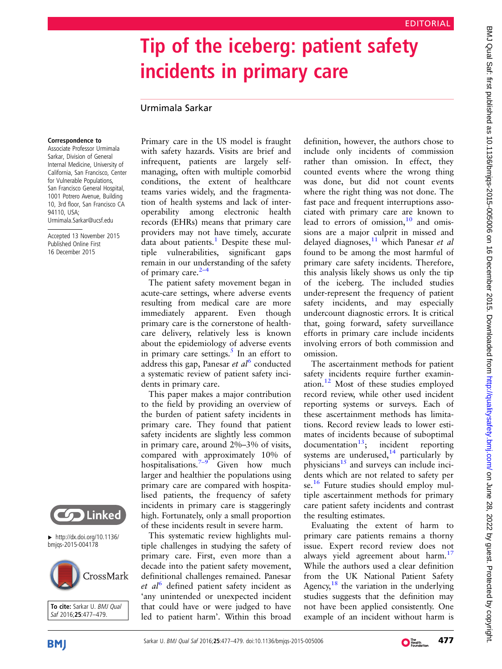# Tip of the iceberg: patient safety incidents in primary care

## Urmimala Sarkar

#### Correspondence to

Associate Professor Urmimala Sarkar, Division of General Internal Medicine, University of California, San Francisco, Center for Vulnerable Populations, San Francisco General Hospital, 1001 Potrero Avenue, Building 10, 3rd floor, San Francisco CA 94110, USA; Urmimala.Sarkar@ucsf.edu

Accepted 13 November 2015 Published Online First 16 December 2015



#### ▸ [http://dx.doi.org/10.1136/](http://dx.doi.org/10.1136/bmjqs-2015-004178) [bmjqs-2015-004178](http://dx.doi.org/10.1136/bmjqs-2015-004178)



To cite: Sarkar U. BMJ Qual Saf 2016;25:477–479.

Primary care in the US model is fraught with safety hazards. Visits are brief and infrequent, patients are largely selfmanaging, often with multiple comorbid conditions, the extent of healthcare teams varies widely, and the fragmentation of health systems and lack of interoperability among electronic health records (EHRs) means that primary care providers may not have timely, accurate data about patients.<sup>[1](#page-1-0)</sup> Despite these multiple vulnerabilities, significant gaps remain in our understanding of the safety of primary care. $2-4$ 

The patient safety movement began in acute-care settings, where adverse events resulting from medical care are more immediately apparent. Even though primary care is the cornerstone of healthcare delivery, relatively less is known about the epidemiology of adverse events in primary care settings.<sup>[5](#page-1-0)</sup> In an effort to address this gap, Panesar *et al*<sup>[6](#page-1-0)</sup> conducted a systematic review of patient safety incidents in primary care.

This paper makes a major contribution to the field by providing an overview of the burden of patient safety incidents in primary care. They found that patient safety incidents are slightly less common in primary care, around 2%–3% of visits, compared with approximately 10% of hospitalisations.<sup>[7](#page-1-0)–9</sup> Given how much larger and healthier the populations using primary care are compared with hospitalised patients, the frequency of safety incidents in primary care is staggeringly high. Fortunately, only a small proportion of these incidents result in severe harm.

This systematic review highlights multiple challenges in studying the safety of primary care. First, even more than a decade into the patient safety movement, definitional challenges remained. Panesar et  $al<sup>6</sup>$  $al<sup>6</sup>$  $al<sup>6</sup>$  defined patient safety incident as 'any unintended or unexpected incident that could have or were judged to have led to patient harm'. Within this broad

definition, however, the authors chose to include only incidents of commission rather than omission. In effect, they counted events where the wrong thing was done, but did not count events where the right thing was not done. The fast pace and frequent interruptions associated with primary care are known to lead to errors of omission, $10$  and omissions are a major culprit in missed and delayed diagnoses,<sup>[11](#page-1-0)</sup> which Panesar et al found to be among the most harmful of primary care safety incidents. Therefore, this analysis likely shows us only the tip of the iceberg. The included studies under-represent the frequency of patient safety incidents, and may especially undercount diagnostic errors. It is critical that, going forward, safety surveillance efforts in primary care include incidents involving errors of both commission and omission.

The ascertainment methods for patient safety incidents require further examination.[12](#page-1-0) Most of these studies employed record review, while other used incident reporting systems or surveys. Each of these ascertainment methods has limitations. Record review leads to lower estimates of incidents because of suboptimal  $d$ ocumentation<sup>13</sup>; incident reporting systems are underused, $14$  particularly by physicians $15$  and surveys can include incidents which are not related to safety per se.<sup>[16](#page-2-0)</sup> Future studies should employ multiple ascertainment methods for primary care patient safety incidents and contrast the resulting estimates.

Evaluating the extent of harm to primary care patients remains a thorny issue. Expert record review does not always yield agreement about harm.<sup>[17](#page-2-0)</sup> While the authors used a clear definition from the UK National Patient Safety Agency, $18$  the variation in the underlying studies suggests that the definition may not have been applied consistently. One example of an incident without harm is

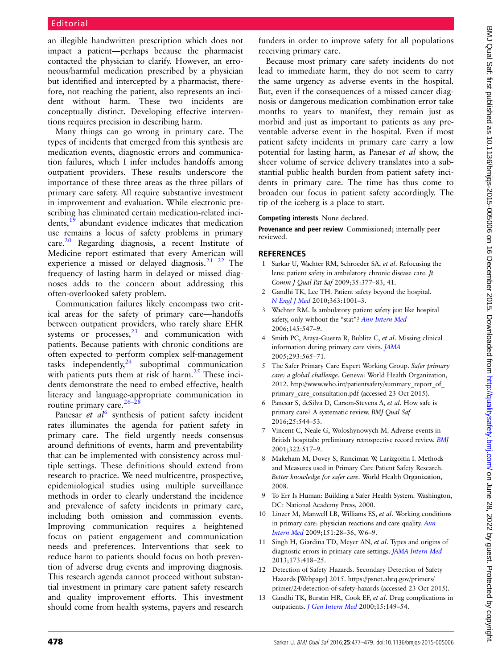<span id="page-1-0"></span>an illegible handwritten prescription which does not impact a patient—perhaps because the pharmacist contacted the physician to clarify. However, an erroneous/harmful medication prescribed by a physician but identified and intercepted by a pharmacist, therefore, not reaching the patient, also represents an incident without harm. These two incidents are conceptually distinct. Developing effective interventions requires precision in describing harm.

Many things can go wrong in primary care. The types of incidents that emerged from this synthesis are medication events, diagnostic errors and communication failures, which I infer includes handoffs among outpatient providers. These results underscore the importance of these three areas as the three pillars of primary care safety. All require substantive investment in improvement and evaluation. While electronic prescribing has eliminated certain medication-related inci-dents,<sup>[19](#page-2-0)</sup> abundant evidence indicates that medication use remains a locus of safety problems in primary  $care.<sup>20</sup>$  $care.<sup>20</sup>$  $care.<sup>20</sup>$  Regarding diagnosis, a recent Institute of Medicine report estimated that every American will experience a missed or delayed diagnosis.<sup>21</sup> <sup>22</sup> The frequency of lasting harm in delayed or missed diagnoses adds to the concern about addressing this often-overlooked safety problem.

Communication failures likely encompass two critical areas for the safety of primary care—handoffs between outpatient providers, who rarely share EHR systems or  $processes, <sup>23</sup>$  $processes, <sup>23</sup>$  $processes, <sup>23</sup>$  and communication with patients. Because patients with chronic conditions are often expected to perform complex self-management tasks independently, $^{24}$  $^{24}$  $^{24}$  suboptimal communication with patients puts them at risk of harm. $25$  These incidents demonstrate the need to embed effective, health literacy and language-appropriate communication in routine primary care.<sup>[26](#page-2-0)–28</sup>

Panesar *et al*<sup>6</sup> synthesis of patient safety incident rates illuminates the agenda for patient safety in primary care. The field urgently needs consensus around definitions of events, harm and preventability that can be implemented with consistency across multiple settings. These definitions should extend from research to practice. We need multicentre, prospective, epidemiological studies using multiple surveillance methods in order to clearly understand the incidence and prevalence of safety incidents in primary care, including both omission and commission events. Improving communication requires a heightened focus on patient engagement and communication needs and preferences. Interventions that seek to reduce harm to patients should focus on both prevention of adverse drug events and improving diagnosis. This research agenda cannot proceed without substantial investment in primary care patient safety research and quality improvement efforts. This investment should come from health systems, payers and research

funders in order to improve safety for all populations receiving primary care.

Because most primary care safety incidents do not lead to immediate harm, they do not seem to carry the same urgency as adverse events in the hospital. But, even if the consequences of a missed cancer diagnosis or dangerous medication combination error take months to years to manifest, they remain just as morbid and just as important to patients as any preventable adverse event in the hospital. Even if most patient safety incidents in primary care carry a low potential for lasting harm, as Panesar et al show, the sheer volume of service delivery translates into a substantial public health burden from patient safety incidents in primary care. The time has thus come to broaden our focus in patient safety accordingly. The tip of the iceberg is a place to start.

## Competing interests None declared.

Provenance and peer review Commissioned; internally peer reviewed.

## **REFERENCES**

- 1 Sarkar U, Wachter RM, Schroeder SA, et al. Refocusing the lens: patient safety in ambulatory chronic disease care. Jt Comm J Qual Pat Saf 2009;35:377–83, 41.
- 2 Gandhi TK, Lee TH. Patient safety beyond the hospital. [N Engl J Med](http://dx.doi.org/10.1056/NEJMp1003294) 2010;363:1001–3.
- 3 Wachter RM. Is ambulatory patient safety just like hospital safety, only without the "stat"? [Ann Intern Med](http://dx.doi.org/10.7326/0003-4819-145-7-200610030-00014) 2006;145:547–9.
- 4 Smith PC, Araya-Guerra R, Bublitz C, et al. Missing clinical information during primary care visits. [JAMA](http://dx.doi.org/10.1001/jama.293.5.565) 2005;293:565–71.
- 5 The Safer Primary Care Expert Working Group. Safer primary care: a global challenge. Geneva: World Health Organization, 2012. [http://www.who.int/patientsafety/summary\\_report\\_of\\_](http://www.who.int/patientsafety/summary_report_of_primary_care_consultation.pdf) [primary\\_care\\_consultation.pdf](http://www.who.int/patientsafety/summary_report_of_primary_care_consultation.pdf) (accessed 23 Oct 2015).
- 6 Panesar S, deSilva D, Carson-Stevens A, et al. How safe is primary care? A systematic review. BMJ Qual Saf 2016;25:544–53.
- Vincent C, Neale G, Woloshynowych M. Adverse events in British hospitals: preliminary retrospective record review. [BMJ](http://dx.doi.org/10.1136/bmj.322.7285.517) 2001;322:517–9.
- 8 Makeham M, Dovey S, Runciman W, Larizgoitia I. Methods and Measures used in Primary Care Patient Safety Research. Better knowledge for safer care. World Health Organization, 2008.
- 9 To Err Is Human: Building a Safer Health System. Washington, DC: National Academy Press, 2000.
- 10 Linzer M, Manwell LB, Williams ES, et al. Working conditions in primary care: physician reactions and care quality. [Ann](http://dx.doi.org/10.7326/0003-4819-151-1-200907070-00006) [Intern Med](http://dx.doi.org/10.7326/0003-4819-151-1-200907070-00006) 2009;151:28–36, W6–9.
- 11 Singh H, Giardina TD, Meyer AN, et al. Types and origins of diagnostic errors in primary care settings. [JAMA Intern Med](http://dx.doi.org/10.1001/jamainternmed.2013.2777) 2013;173:418–25.
- 12 Detection of Safety Hazards. Secondary Detection of Safety Hazards [Webpage] 2015. [https://psnet.ahrq.gov/primers/](https://psnet.ahrq.gov/primers/primer/24/detection-of-safety-hazards) [primer/24/detection-of-safety-hazards](https://psnet.ahrq.gov/primers/primer/24/detection-of-safety-hazards) (accessed 23 Oct 2015).
- 13 Gandhi TK, Burstin HR, Cook EF, et al. Drug complications in outpatients. [J Gen Intern Med](http://dx.doi.org/10.1046/j.1525-1497.2000.04199.x) 2000;15:149-54.